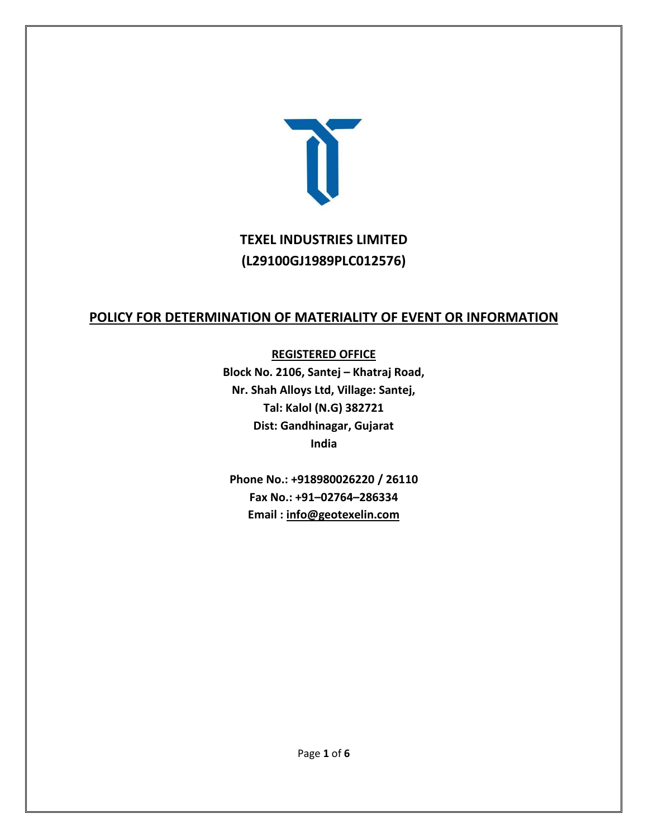

# **TEXEL INDUSTRIES LIMITED (L29100GJ1989PLC012576)**

## **POLICY FOR DETERMINATION OF MATERIALITY OF EVENT OR INFORMATION**

#### **REGISTERED OFFICE**

**Block No. 2106, Santej – Khatraj Road, Nr. Shah Alloys Ltd, Village: Santej, Tal: Kalol (N.G) 382721 Dist: Gandhinagar, Gujarat India**

**Phone No.: +918980026220 / 26110 Fax No.: +91–02764–286334 Email : [info@geotexelin.com](mailto:info@geotexelin.com)**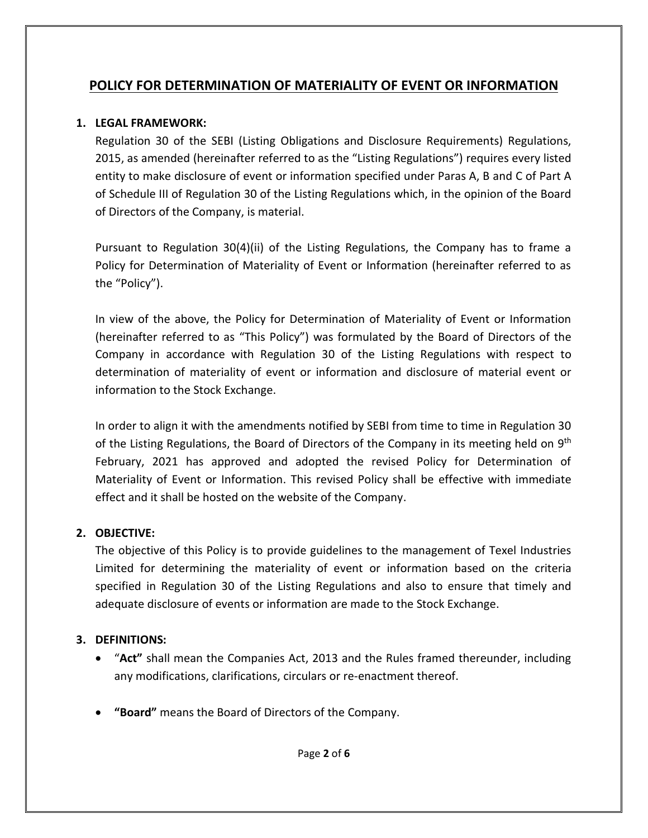# **POLICY FOR DETERMINATION OF MATERIALITY OF EVENT OR INFORMATION**

### **1. LEGAL FRAMEWORK:**

Regulation 30 of the SEBI (Listing Obligations and Disclosure Requirements) Regulations, 2015, as amended (hereinafter referred to as the "Listing Regulations") requires every listed entity to make disclosure of event or information specified under Paras A, B and C of Part A of Schedule III of Regulation 30 of the Listing Regulations which, in the opinion of the Board of Directors of the Company, is material.

Pursuant to Regulation 30(4)(ii) of the Listing Regulations, the Company has to frame a Policy for Determination of Materiality of Event or Information (hereinafter referred to as the "Policy").

In view of the above, the Policy for Determination of Materiality of Event or Information (hereinafter referred to as "This Policy") was formulated by the Board of Directors of the Company in accordance with Regulation 30 of the Listing Regulations with respect to determination of materiality of event or information and disclosure of material event or information to the Stock Exchange.

In order to align it with the amendments notified by SEBI from time to time in Regulation 30 of the Listing Regulations, the Board of Directors of the Company in its meeting held on 9<sup>th</sup> February, 2021 has approved and adopted the revised Policy for Determination of Materiality of Event or Information. This revised Policy shall be effective with immediate effect and it shall be hosted on the website of the Company.

### **2. OBJECTIVE:**

The objective of this Policy is to provide guidelines to the management of Texel Industries Limited for determining the materiality of event or information based on the criteria specified in Regulation 30 of the Listing Regulations and also to ensure that timely and adequate disclosure of events or information are made to the Stock Exchange.

### **3. DEFINITIONS:**

- "**Act"** shall mean the Companies Act, 2013 and the Rules framed thereunder, including any modifications, clarifications, circulars or re-enactment thereof.
- **"Board"** means the Board of Directors of the Company.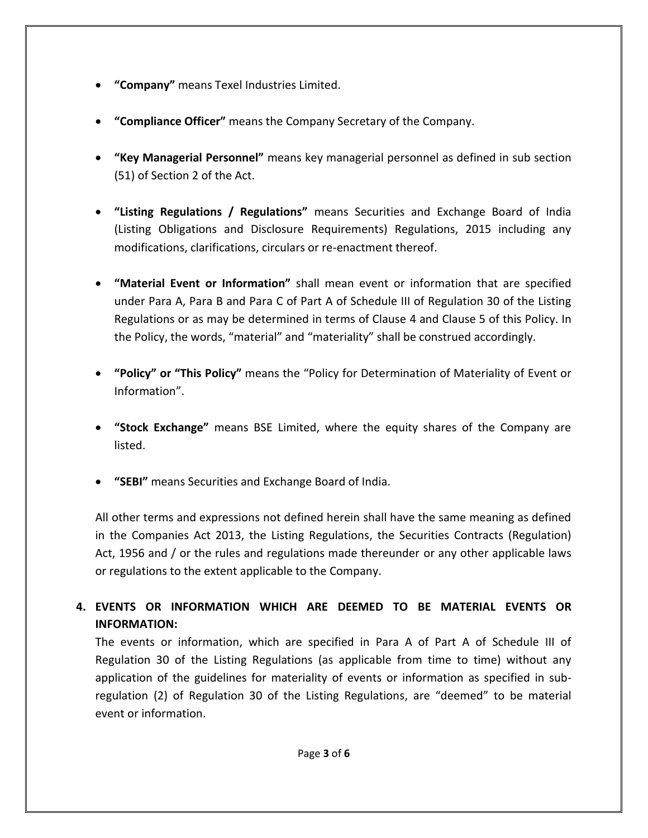- **"Company"** means Texel Industries Limited.
- **"Compliance Officer"** means the Company Secretary of the Company.
- **"Key Managerial Personnel"** means key managerial personnel as defined in sub section (51) of Section 2 of the Act.
- **"Listing Regulations / Regulations"** means Securities and Exchange Board of India (Listing Obligations and Disclosure Requirements) Regulations, 2015 including any modifications, clarifications, circulars or re-enactment thereof.
- **"Material Event or Information"** shall mean event or information that are specified under Para A, Para B and Para C of Part A of Schedule III of Regulation 30 of the Listing Regulations or as may be determined in terms of Clause 4 and Clause 5 of this Policy. In the Policy, the words, "material" and "materiality" shall be construed accordingly.
- **"Policy" or "This Policy"** means the "Policy for Determination of Materiality of Event or Information".
- **"Stock Exchange"** means BSE Limited, where the equity shares of the Company are listed.
- **"SEBI"** means Securities and Exchange Board of India.

All other terms and expressions not defined herein shall have the same meaning as defined in the Companies Act 2013, the Listing Regulations, the Securities Contracts (Regulation) Act, 1956 and / or the rules and regulations made thereunder or any other applicable laws or regulations to the extent applicable to the Company.

**4. EVENTS OR INFORMATION WHICH ARE DEEMED TO BE MATERIAL EVENTS OR INFORMATION:**

The events or information, which are specified in Para A of Part A of Schedule III of Regulation 30 of the Listing Regulations (as applicable from time to time) without any application of the guidelines for materiality of events or information as specified in subregulation (2) of Regulation 30 of the Listing Regulations, are "deemed" to be material event or information.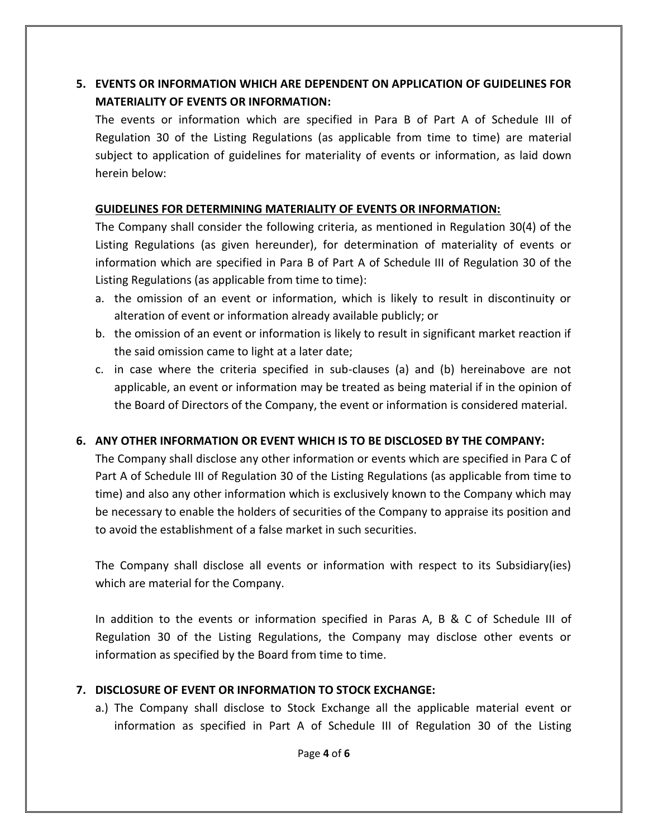### **5. EVENTS OR INFORMATION WHICH ARE DEPENDENT ON APPLICATION OF GUIDELINES FOR MATERIALITY OF EVENTS OR INFORMATION:**

The events or information which are specified in Para B of Part A of Schedule III of Regulation 30 of the Listing Regulations (as applicable from time to time) are material subject to application of guidelines for materiality of events or information, as laid down herein below:

#### **GUIDELINES FOR DETERMINING MATERIALITY OF EVENTS OR INFORMATION:**

The Company shall consider the following criteria, as mentioned in Regulation 30(4) of the Listing Regulations (as given hereunder), for determination of materiality of events or information which are specified in Para B of Part A of Schedule III of Regulation 30 of the Listing Regulations (as applicable from time to time):

- a. the omission of an event or information, which is likely to result in discontinuity or alteration of event or information already available publicly; or
- b. the omission of an event or information is likely to result in significant market reaction if the said omission came to light at a later date;
- c. in case where the criteria specified in sub-clauses (a) and (b) hereinabove are not applicable, an event or information may be treated as being material if in the opinion of the Board of Directors of the Company, the event or information is considered material.

#### **6. ANY OTHER INFORMATION OR EVENT WHICH IS TO BE DISCLOSED BY THE COMPANY:**

The Company shall disclose any other information or events which are specified in Para C of Part A of Schedule III of Regulation 30 of the Listing Regulations (as applicable from time to time) and also any other information which is exclusively known to the Company which may be necessary to enable the holders of securities of the Company to appraise its position and to avoid the establishment of a false market in such securities.

The Company shall disclose all events or information with respect to its Subsidiary(ies) which are material for the Company.

In addition to the events or information specified in Paras A, B & C of Schedule III of Regulation 30 of the Listing Regulations, the Company may disclose other events or information as specified by the Board from time to time.

#### **7. DISCLOSURE OF EVENT OR INFORMATION TO STOCK EXCHANGE:**

a.) The Company shall disclose to Stock Exchange all the applicable material event or information as specified in Part A of Schedule III of Regulation 30 of the Listing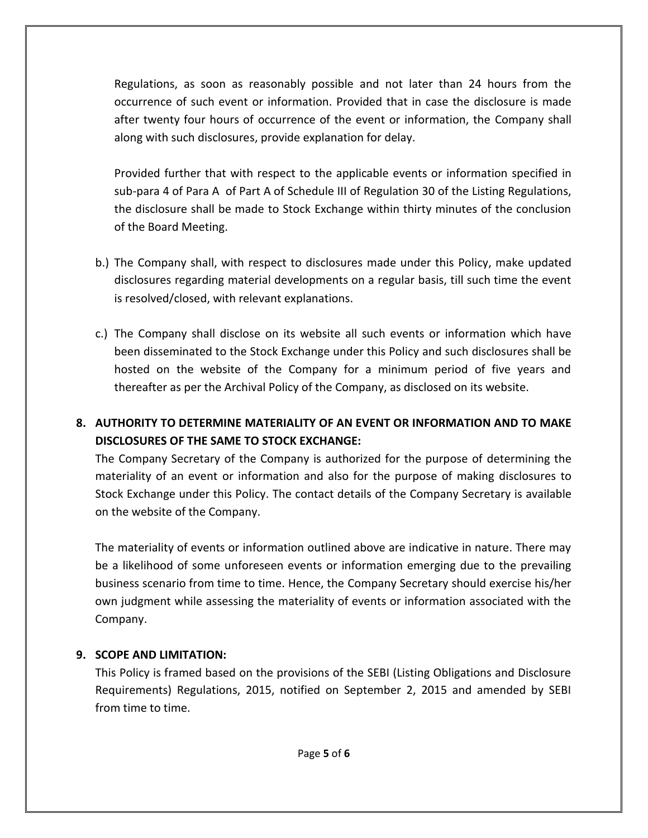Regulations, as soon as reasonably possible and not later than 24 hours from the occurrence of such event or information. Provided that in case the disclosure is made after twenty four hours of occurrence of the event or information, the Company shall along with such disclosures, provide explanation for delay.

Provided further that with respect to the applicable events or information specified in sub-para 4 of Para A of Part A of Schedule III of Regulation 30 of the Listing Regulations, the disclosure shall be made to Stock Exchange within thirty minutes of the conclusion of the Board Meeting.

- b.) The Company shall, with respect to disclosures made under this Policy, make updated disclosures regarding material developments on a regular basis, till such time the event is resolved/closed, with relevant explanations.
- c.) The Company shall disclose on its website all such events or information which have been disseminated to the Stock Exchange under this Policy and such disclosures shall be hosted on the website of the Company for a minimum period of five years and thereafter as per the Archival Policy of the Company, as disclosed on its website.

## **8. AUTHORITY TO DETERMINE MATERIALITY OF AN EVENT OR INFORMATION AND TO MAKE DISCLOSURES OF THE SAME TO STOCK EXCHANGE:**

The Company Secretary of the Company is authorized for the purpose of determining the materiality of an event or information and also for the purpose of making disclosures to Stock Exchange under this Policy. The contact details of the Company Secretary is available on the website of the Company.

The materiality of events or information outlined above are indicative in nature. There may be a likelihood of some unforeseen events or information emerging due to the prevailing business scenario from time to time. Hence, the Company Secretary should exercise his/her own judgment while assessing the materiality of events or information associated with the Company.

#### **9. SCOPE AND LIMITATION:**

This Policy is framed based on the provisions of the SEBI (Listing Obligations and Disclosure Requirements) Regulations, 2015, notified on September 2, 2015 and amended by SEBI from time to time.